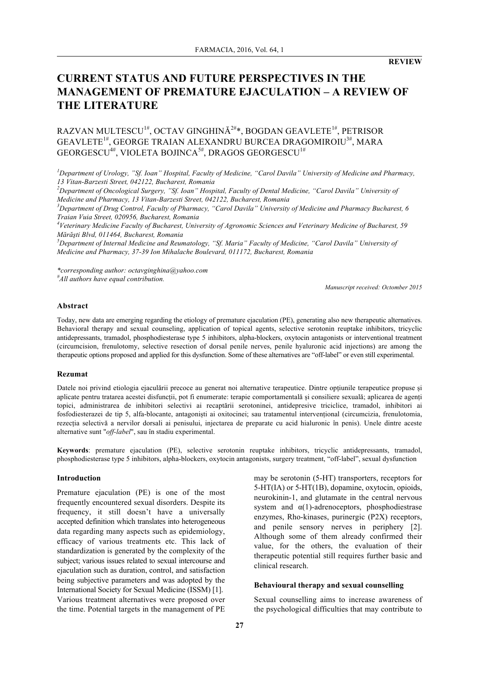# **CURRENT STATUS AND FUTURE PERSPECTIVES IN THE MANAGEMENT OF PREMATURE EJACULATION – A REVIEW OF THE LITERATURE**

# RAZVAN MULTESCU $^{1\#}$ , OCTAV GINGHINĂ $^{2\#}$ \*, BOGDAN GEAVLETE $^{1\#}$ , PETRISOR GEAVLETE $^{1\#}$ , GEORGE TRAIAN ALEXANDRU BURCEA DRAGOMIROIU $^{3\#}$ , MARA  $\rm GEORGESCU^{4\#},$  VIOLETA BOJINCA $^{5\#},$  DRAGOS  $\rm GEORGESCU^{1\#}$

*1 Department of Urology, "Sf. Ioan" Hospital, Faculty of Medicine, "Carol Davila" University of Medicine and Pharmacy, 13 Vitan-Barzesti Street, 042122, Bucharest, Romania*

*2 Department of Oncological Surgery, "Sf. Ioan" Hospital, Faculty of Dental Medicine, "Carol Davila" University of Medicine and Pharmacy, 13 Vitan-Barzesti Street, 042122, Bucharest, Romania*

*3 Department of Drug Control, Faculty of Pharmacy, "Carol Davila" University of Medicine and Pharmacy Bucharest, 6 Traian Vuia Street, 020956, Bucharest, Romania*

*4 Veterinary Medicine Faculty of Bucharest, University of Agronomic Sciences and Veterinary Medicine of Bucharest, 59 Mărăşti Blvd, 011464, Bucharest, Romania*

*5 Department of Internal Medicine and Reumatology, "Sf. Maria" Faculty of Medicine, "Carol Davila" University of Medicine and Pharmacy, 37-39 Ion Mihalache Boulevard, 011172, Bucharest, Romania*

*\*corresponding author: octavginghina@yahoo.com # All authors have equal contribution.*

*Manuscript received: Octomber 2015*

### **Abstract**

Today, new data are emerging regarding the etiology of premature ejaculation (PE), generating also new therapeutic alternatives. Behavioral therapy and sexual counseling, application of topical agents, selective serotonin reuptake inhibitors, tricyclic antidepressants, tramadol, phosphodiesterase type 5 inhibitors, alpha-blockers, oxytocin antagonists or interventional treatment (circumcision, frenulotomy, selective resection of dorsal penile nerves, penile hyaluronic acid injections) are among the therapeutic options proposed and applied for this dysfunction. Some of these alternatives are "off-label" or even still experimental.

### **Rezumat**

Datele noi privind etiologia ejaculării precoce au generat noi alternative terapeutice. Dintre opțiunile terapeutice propuse și aplicate pentru tratarea acestei disfuncții, pot fi enumerate: terapie comportamentală și consiliere sexuală; aplicarea de agenți topici, administrarea de inhibitori selectivi ai recaptării serotoninei, antidepresive triciclice, tramadol, inhibitori ai fosfodiesterazei de tip 5, alfa-blocante, antagoniști ai oxitocinei; sau tratamentul intervențional (circumcizia, frenulotomia, rezecția selectivă a nervilor dorsali ai penisului, injectarea de preparate cu acid hialuronic în penis). Unele dintre aceste alternative sunt "*off-label*", sau în stadiu experimental.

**Keywords**: premature ejaculation (PE), selective serotonin reuptake inhibitors, tricyclic antidepressants, tramadol, phosphodiesterase type 5 inhibitors, alpha-blockers, oxytocin antagonists, surgery treatment, "off-label", sexual dysfunction

#### **Introduction**

Premature ejaculation (PE) is one of the most frequently encountered sexual disorders. Despite its frequency, it still doesn't have a universally accepted definition which translates into heterogeneous data regarding many aspects such as epidemiology, efficacy of various treatments etc. This lack of standardization is generated by the complexity of the subject; various issues related to sexual intercourse and ejaculation such as duration, control, and satisfaction being subjective parameters and was adopted by the International Society for Sexual Medicine (ISSM) [1]. Various treatment alternatives were proposed over the time. Potential targets in the management of PE may be serotonin (5-HT) transporters, receptors for 5-HT(IA) or 5-HT(1B), dopamine, oxytocin, opioids, neurokinin-1, and glutamate in the central nervous system and  $\alpha(1)$ -adrenoceptors, phosphodiestrase enzymes, Rho-kinases, purinergic (P2X) receptors, and penile sensory nerves in periphery [2]. Although some of them already confirmed their value, for the others, the evaluation of their therapeutic potential still requires further basic and clinical research.

### **Behavioural therapy and sexual counselling**

Sexual counselling aims to increase awareness of the psychological difficulties that may contribute to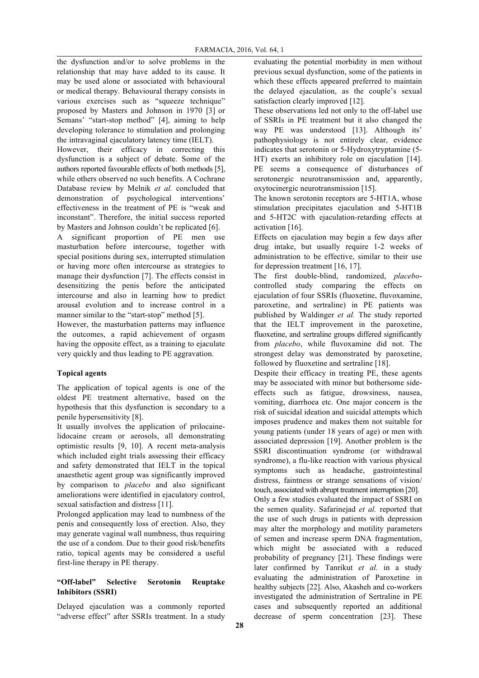the dysfunction and/or to solve problems in the relationship that may have added to its cause. It may be used alone or associated with behavioural or medical therapy. Behavioural therapy consists in various exercises such as "squeeze technique" proposed by Masters and Johnson in 1970 [3] or Semans' "start-stop method" [4], aiming to help developing tolerance to stimulation and prolonging the intravaginal ejaculatory latency time (IELT).

However, their efficacy in correcting this dysfunction is a subject of debate. Some of the authors reported favourable effects of both methods [5], while others observed no such benefits. A Cochrane Database review by Melnik *et al.* concluded that demonstration of psychological interventions' effectiveness in the treatment of PE is "weak and inconstant". Therefore, the initial success reported by Masters and Johnson couldn't be replicated [6].

A significant proportion of PE men use masturbation before intercourse, together with special positions during sex, interrupted stimulation or having more often intercourse as strategies to manage their dysfunction [7]. The effects consist in desensitizing the penis before the anticipated intercourse and also in learning how to predict arousal evolution and to increase control in a manner similar to the "start-stop" method [5].

However, the masturbation patterns may influence the outcomes, a rapid achievement of orgasm having the opposite effect, as a training to ejaculate very quickly and thus leading to PE aggravation.

# **Topical agents**

The application of topical agents is one of the oldest PE treatment alternative, based on the hypothesis that this dysfunction is secondary to a penile hypersensitivity [8].

It usually involves the application of prilocainelidocaine cream or aerosols, all demonstrating optimistic results [9, 10]. A recent meta-analysis which included eight trials assessing their efficacy and safety demonstrated that IELT in the topical anaesthetic agent group was significantly improved by comparison to *placebo* and also significant ameliorations were identified in ejaculatory control, sexual satisfaction and distress [11].

Prolonged application may lead to numbness of the penis and consequently loss of erection. Also, they may generate vaginal wall numbness, thus requiring the use of a condom. Due to their good risk/benefits ratio, topical agents may be considered a useful first-line therapy in PE therapy.

# **"Off-label" Selective Serotonin Reuptake Inhibitors (SSRI)**

Delayed ejaculation was a commonly reported "adverse effect" after SSRIs treatment. In a study evaluating the potential morbidity in men without previous sexual dysfunction, some of the patients in which these effects appeared preferred to maintain the delayed ejaculation, as the couple's sexual satisfaction clearly improved [12].

These observations led not only to the off-label use of SSRIs in PE treatment but it also changed the way PE was understood [13]. Although its' pathophysiology is not entirely clear, evidence indicates that serotonin or 5-Hydroxytryptamine (5- HT) exerts an inhibitory role on ejaculation [14]. PE seems a consequence of disturbances of serotonergic neurotransmission and, apparently, oxytocinergic neurotransmission [15].

The known serotonin receptors are 5-HT1A, whose stimulation precipitates ejaculation and 5-HT1B and 5-HT2C with ejaculation-retarding effects at activation [16].

Effects on ejaculation may begin a few days after drug intake, but usually require 1-2 weeks of administration to be effective, similar to their use for depression treatment [16, 17].

The first double-blind, randomized, *placebo*controlled study comparing the effects on ejaculation of four SSRIs (fluoxetine, fluvoxamine, paroxetine, and sertraline) in PE patients was published by Waldinger *et al.* The study reported that the IELT improvement in the paroxetine, fluoxetine, and sertraline groups differed significantly from *placebo*, while fluvoxamine did not. The strongest delay was demonstrated by paroxetine, followed by fluoxetine and sertraline [18].

Despite their efficacy in treating PE, these agents may be associated with minor but bothersome sideeffects such as fatigue, drowsiness, nausea, vomiting, diarrhoea etc. One major concern is the risk of suicidal ideation and suicidal attempts which imposes prudence and makes them not suitable for young patients (under 18 years of age) or men with associated depression [19]. Another problem is the SSRI discontinuation syndrome (or withdrawal syndrome), a flu-like reaction with various physical symptoms such as headache, gastrointestinal distress, faintness or strange sensations of vision/ touch, associated with abrupt treatment interruption [20].

Only a few studies evaluated the impact of SSRI on the semen quality. Safarinejad *et al.* reported that the use of such drugs in patients with depression may alter the morphology and motility parameters of semen and increase sperm DNA fragmentation, which might be associated with a reduced probability of pregnancy [21]. These findings were later confirmed by Tanrikut *et al.* in a study evaluating the administration of Paroxetine in healthy subjects [22]. Also, Akasheh and co-workers investigated the administration of Sertraline in PE cases and subsequently reported an additional decrease of sperm concentration [23]. These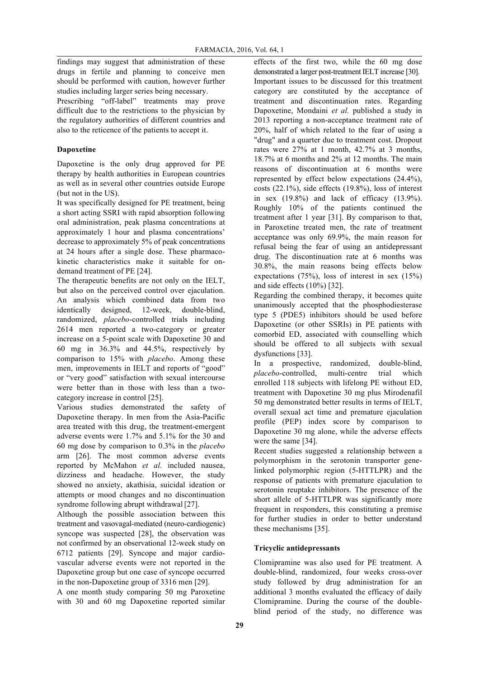findings may suggest that administration of these drugs in fertile and planning to conceive men should be performed with caution, however further studies including larger series being necessary.

Prescribing "off-label" treatments may prove difficult due to the restrictions to the physician by the regulatory authorities of different countries and also to the reticence of the patients to accept it.

# **Dapoxetine**

Dapoxetine is the only drug approved for PE therapy by health authorities in European countries as well as in several other countries outside Europe (but not in the US).

It was specifically designed for PE treatment, being a short acting SSRI with rapid absorption following oral administration, peak plasma concentrations at approximately 1 hour and plasma concentrations' decrease to approximately 5% of peak concentrations at 24 hours after a single dose. These pharmacokinetic characteristics make it suitable for ondemand treatment of PE [24].

The therapeutic benefits are not only on the IELT, but also on the perceived control over ejaculation. An analysis which combined data from two identically designed, 12-week, double-blind, randomized, *placebo*-controlled trials including 2614 men reported a two-category or greater increase on a 5-point scale with Dapoxetine 30 and 60 mg in 36.3% and 44.5%, respectively by comparison to 15% with *placebo*. Among these men, improvements in IELT and reports of "good" or "very good" satisfaction with sexual intercourse were better than in those with less than a twocategory increase in control [25].

Various studies demonstrated the safety of Dapoxetine therapy. In men from the Asia-Pacific area treated with this drug, the treatment-emergent adverse events were 1.7% and 5.1% for the 30 and 60 mg dose by comparison to 0.3% in the *placebo* arm [26]. The most common adverse events reported by McMahon *et al.* included nausea, dizziness and headache. However, the study showed no anxiety, akathisia, suicidal ideation or attempts or mood changes and no discontinuation syndrome following abrupt withdrawal<sup>[27]</sup>.

Although the possible association between this treatment and vasovagal-mediated (neuro-cardiogenic) syncope was suspected [28], the observation was not confirmed by an observational 12-week study on 6712 patients [29]. Syncope and major cardiovascular adverse events were not reported in the Dapoxetine group but one case of syncope occurred in the non-Dapoxetine group of 3316 men [29].

A one month study comparing 50 mg Paroxetine with 30 and 60 mg Dapoxetine reported similar effects of the first two, while the 60 mg dose demonstrated a larger post-treatment IELT increase [30]. Important issues to be discussed for this treatment category are constituted by the acceptance of treatment and discontinuation rates. Regarding Dapoxetine, Mondaini *et al.* published a study in 2013 reporting a non-acceptance treatment rate of 20%, half of which related to the fear of using a "drug" and a quarter due to treatment cost. Dropout rates were 27% at 1 month, 42.7% at 3 months, 18.7% at 6 months and 2% at 12 months. The main reasons of discontinuation at 6 months were represented by effect below expectations (24.4%), costs (22.1%), side effects (19.8%), loss of interest in sex (19.8%) and lack of efficacy (13.9%). Roughly 10% of the patients continued the treatment after 1 year [31]. By comparison to that, in Paroxetine treated men, the rate of treatment acceptance was only 69.9%, the main reason for refusal being the fear of using an antidepressant drug. The discontinuation rate at 6 months was 30.8%, the main reasons being effects below expectations (75%), loss of interest in sex (15%) and side effects (10%) [32].

Regarding the combined therapy, it becomes quite unanimously accepted that the phosphodiesterase type 5 (PDE5) inhibitors should be used before Dapoxetine (or other SSRIs) in PE patients with comorbid ED, associated with counselling which should be offered to all subjects with sexual dysfunctions [33].

In a prospective, randomized, double-blind, *placebo*-controlled, multi-centre trial which enrolled 118 subjects with lifelong PE without ED, treatment with Dapoxetine 30 mg plus Mirodenafil 50 mg demonstrated better results in terms of IELT, overall sexual act time and premature ejaculation profile (PEP) index score by comparison to Dapoxetine 30 mg alone, while the adverse effects were the same [34].

Recent studies suggested a relationship between a polymorphism in the serotonin transporter genelinked polymorphic region (5-HTTLPR) and the response of patients with premature ejaculation to serotonin reuptake inhibitors. The presence of the short allele of 5-HTTLPR was significantly more frequent in responders, this constituting a premise for further studies in order to better understand these mechanisms [35].

## **Tricyclic antidepressants**

Clomipramine was also used for PE treatment. A double-blind, randomized, four weeks cross-over study followed by drug administration for an additional 3 months evaluated the efficacy of daily Clomipramine. During the course of the doubleblind period of the study, no difference was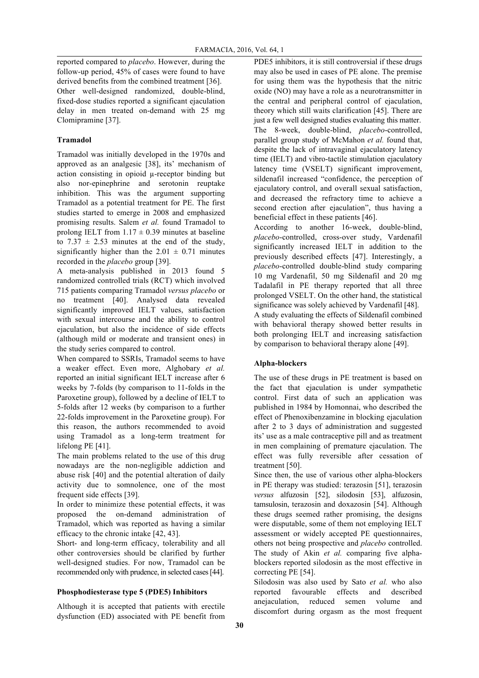reported compared to *placebo*. However, during the follow-up period, 45% of cases were found to have derived benefits from the combined treatment [36]. Other well-designed randomized, double-blind, fixed-dose studies reported a significant ejaculation delay in men treated on-demand with 25 mg Clomipramine [37].

# **Tramadol**

Tramadol was initially developed in the 1970s and approved as an analgesic [38], its' mechanism of action consisting in opioid µ-receptor binding but also nor-epinephrine and serotonin reuptake inhibition. This was the argument supporting Tramadol as a potential treatment for PE. The first studies started to emerge in 2008 and emphasized promising results. Salem *et al.* found Tramadol to prolong IELT from  $1.17 \pm 0.39$  minutes at baseline to  $7.37 \pm 2.53$  minutes at the end of the study, significantly higher than the  $2.01 \pm 0.71$  minutes recorded in the *placebo* group [39].

A meta-analysis published in 2013 found 5 randomized controlled trials (RCT) which involved 715 patients comparing Tramadol *versus placebo* or no treatment [40]. Analysed data revealed significantly improved IELT values, satisfaction with sexual intercourse and the ability to control ejaculation, but also the incidence of side effects (although mild or moderate and transient ones) in the study series compared to control.

When compared to SSRIs, Tramadol seems to have a weaker effect. Even more, Alghobary *et al.* reported an initial significant IELT increase after 6 weeks by 7-folds (by comparison to 11-folds in the Paroxetine group), followed by a decline of IELT to 5-folds after 12 weeks (by comparison to a further 22-folds improvement in the Paroxetine group). For this reason, the authors recommended to avoid using Tramadol as a long-term treatment for lifelong PE [41].

The main problems related to the use of this drug nowadays are the non-negligible addiction and abuse risk [40] and the potential alteration of daily activity due to somnolence, one of the most frequent side effects [39].

In order to minimize these potential effects, it was proposed the on-demand administration of Tramadol, which was reported as having a similar efficacy to the chronic intake [42, 43].

Short- and long-term efficacy, tolerability and all other controversies should be clarified by further well-designed studies. For now, Tramadol can be recommended only with prudence, in selected cases[44].

## **Phosphodiesterase type 5 (PDE5) Inhibitors**

Although it is accepted that patients with erectile dysfunction (ED) associated with PE benefit from

PDE5 inhibitors, it is still controversial if these drugs may also be used in cases of PE alone. The premise for using them was the hypothesis that the nitric oxide (NO) may have a role as a neurotransmitter in the central and peripheral control of ejaculation, theory which still waits clarification [45]. There are just a few well designed studies evaluating this matter. The 8-week, double-blind, *placebo*-controlled, parallel group study of McMahon *et al.* found that, despite the lack of intravaginal ejaculatory latency time (IELT) and vibro-tactile stimulation ejaculatory latency time (VSELT) significant improvement, sildenafil increased "confidence, the perception of ejaculatory control, and overall sexual satisfaction, and decreased the refractory time to achieve a second erection after ejaculation", thus having a beneficial effect in these patients [46].

According to another 16-week, double-blind, *placebo*-controlled, cross-over study, Vardenafil significantly increased IELT in addition to the previously described effects [47]. Interestingly, a *placebo*-controlled double-blind study comparing 10 mg Vardenafil, 50 mg Sildenafil and 20 mg Tadalafil in PE therapy reported that all three prolonged VSELT. On the other hand, the statistical significance was solely achieved by Vardenafil [48]. A study evaluating the effects of Sildenafil combined with behavioral therapy showed better results in both prolonging IELT and increasing satisfaction by comparison to behavioral therapy alone [49].

## **Alpha-blockers**

The use of these drugs in PE treatment is based on the fact that ejaculation is under sympathetic control. First data of such an application was published in 1984 by Homonnai, who described the effect of Phenoxibenzamine in blocking ejaculation after 2 to 3 days of administration and suggested its' use as a male contraceptive pill and as treatment in men complaining of premature ejaculation. The effect was fully reversible after cessation of treatment [50].

Since then, the use of various other alpha-blockers in PE therapy was studied: terazosin [51], terazosin *versus* alfuzosin [52], silodosin [53], alfuzosin, tamsulosin, terazosin and doxazosin [54]. Although these drugs seemed rather promising, the designs were disputable, some of them not employing IELT assessment or widely accepted PE questionnaires, others not being prospective and *placebo* controlled. The study of Akin *et al.* comparing five alphablockers reported silodosin as the most effective in correcting PE [54].

Silodosin was also used by Sato *et al.* who also reported favourable effects and described anejaculation, reduced semen volume and discomfort during orgasm as the most frequent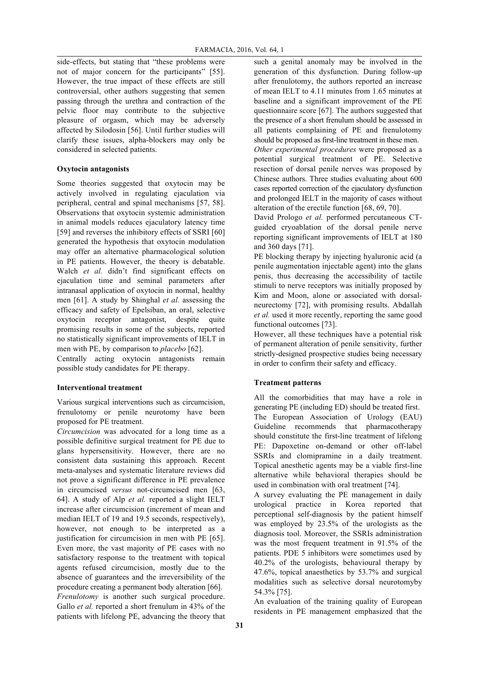side-effects, but stating that "these problems were not of major concern for the participants" [55]. However, the true impact of these effects are still controversial, other authors suggesting that semen passing through the urethra and contraction of the pelvic floor may contribute to the subjective pleasure of orgasm, which may be adversely affected by Silodosin [56]. Until further studies will clarify these issues, alpha-blockers may only be considered in selected patients.

### **Oxytocin antagonists**

Some theories suggested that oxytocin may be actively involved in regulating ejaculation via peripheral, central and spinal mechanisms [57, 58]. Observations that oxytocin systemic administration in animal models reduces ejaculatory latency time [59] and reverses the inhibitory effects of SSRI [60] generated the hypothesis that oxytocin modulation may offer an alternative pharmacological solution in PE patients. However, the theory is debatable. Walch *et al.* didn't find significant effects on ejaculation time and seminal parameters after intranasal application of oxytocin in normal, healthy men [61]. A study by Shinghal *et al.* assessing the efficacy and safety of Epelsiban, an oral, selective oxytocin receptor antagonist, despite quite promising results in some of the subjects, reported no statistically significant improvements of IELT in men with PE, by comparison to *placebo* [62].

Centrally acting oxytocin antagonists remain possible study candidates for PE therapy.

#### **Interventional treatment**

Various surgical interventions such as circumcision, frenulotomy or penile neurotomy have been proposed for PE treatment.

*Circumcision* was advocated for a long time as a possible definitive surgical treatment for PE due to glans hypersensitivity. However, there are no consistent data sustaining this approach. Recent meta-analyses and systematic literature reviews did not prove a significant difference in PE prevalence in circumcised *versus* not-circumcised men [63, 64]. A study of Alp *et al.* reported a slight IELT increase after circumcision (increment of mean and median IELT of 19 and 19.5 seconds, respectively), however, not enough to be interpreted as a justification for circumcision in men with PE [65]. Even more, the vast majority of PE cases with no satisfactory response to the treatment with topical agents refused circumcision, mostly due to the absence of guarantees and the irreversibility of the procedure creating a permanent body alteration [66]. *Frenulotomy* is another such surgical procedure. Gallo *et al.* reported a short frenulum in 43% of the patients with lifelong PE, advancing the theory that such a genital anomaly may be involved in the generation of this dysfunction. During follow-up after frenulotomy, the authors reported an increase of mean IELT to 4.11 minutes from 1.65 minutes at baseline and a significant improvement of the PE questionnaire score [67]. The authors suggested that the presence of a short frenulum should be assessed in all patients complaining of PE and frenulotomy should be proposed as first-line treatment in these men.

*Other experimental procedures* were proposed as a potential surgical treatment of PE. Selective resection of dorsal penile nerves was proposed by Chinese authors. Three studies evaluating about 600 cases reported correction of the ejaculatory dysfunction and prolonged IELT in the majority of cases without alteration of the erectile function [68, 69, 70].

David Prologo *et al.* performed percutaneous CTguided cryoablation of the dorsal penile nerve reporting significant improvements of IELT at 180 and 360 days [71].

PE blocking therapy by injecting hyaluronic acid (a penile augmentation injectable agent) into the glans penis, thus decreasing the accessibility of tactile stimuli to nerve receptors was initially proposed by Kim and Moon, alone or associated with dorsalneurectomy [72], with promising results. Abdallah *et al.* used it more recently, reporting the same good functional outcomes [73].

However, all these techniques have a potential risk of permanent alteration of penile sensitivity, further strictly-designed prospective studies being necessary in order to confirm their safety and efficacy.

### **Treatment patterns**

All the comorbidities that may have a role in generating PE (including ED) should be treated first. The European Association of Urology (EAU) Guideline recommends that pharmacotherapy should constitute the first-line treatment of lifelong PE: Dapoxetine on-demand or other off-label SSRIs and clomipramine in a daily treatment. Topical anesthetic agents may be a viable first-line alternative while behavioral therapies should be used in combination with oral treatment [74].

A survey evaluating the PE management in daily urological practice in Korea reported that perceptional self-diagnosis by the patient himself was employed by 23.5% of the urologists as the diagnosis tool. Moreover, the SSRIs administration was the most frequent treatment in 91.5% of the patients. PDE 5 inhibitors were sometimes used by 40.2% of the urologists, behavioural therapy by 47.6%, topical anaesthetics by 53.7% and surgical modalities such as selective dorsal neurotomyby 54.3% [75].

An evaluation of the training quality of European residents in PE management emphasized that the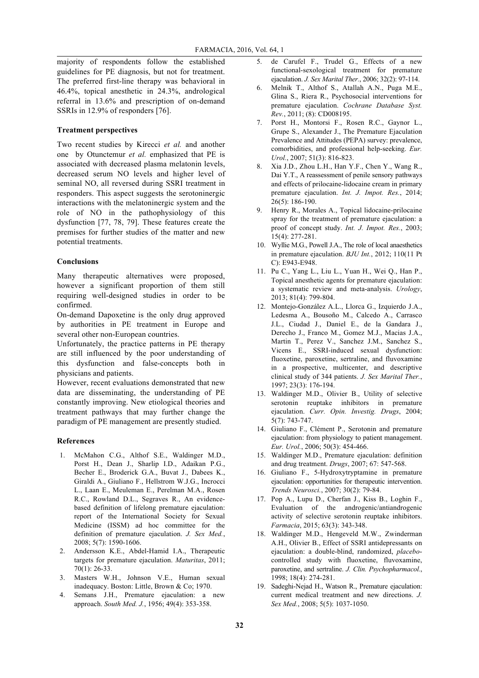majority of respondents follow the established guidelines for PE diagnosis, but not for treatment. The preferred first-line therapy was behavioral in 46.4%, topical anesthetic in 24.3%, andrological referral in 13.6% and prescription of on-demand SSRIs in 12.9% of responders [76].

## **Treatment perspectives**

Two recent studies by Kirecci *et al.* and another one by Otunctemur *et al.* emphasized that PE is associated with decreased plasma melatonin levels, decreased serum NO levels and higher level of seminal NO, all reversed during SSRI treatment in responders. This aspect suggests the serotoninergic interactions with the melatoninergic system and the role of NO in the pathophysiology of this dysfunction [77, 78, 79]. These features create the premises for further studies of the matter and new potential treatments.

#### **Conclusions**

Many therapeutic alternatives were proposed, however a significant proportion of them still requiring well-designed studies in order to be confirmed.

On-demand Dapoxetine is the only drug approved by authorities in PE treatment in Europe and several other non-European countries.

Unfortunately, the practice patterns in PE therapy are still influenced by the poor understanding of this dysfunction and false-concepts both in physicians and patients.

However, recent evaluations demonstrated that new data are disseminating, the understanding of PE constantly improving. New etiological theories and treatment pathways that may further change the paradigm of PE management are presently studied.

### **References**

- 1. McMahon C.G., Althof S.E., Waldinger M.D., Porst H., Dean J., Sharlip I.D., Adaikan P.G., Becher E., Broderick G.A., Buvat J., Dabees K., Giraldi A., Giuliano F., Hellstrom W.J.G., Incrocci L., Laan E., Meuleman E., Perelman M.A., Rosen R.C., Rowland D.L., Segraves R., An evidencebased definition of lifelong premature ejaculation: report of the International Society for Sexual Medicine (ISSM) ad hoc committee for the definition of premature ejaculation. *J. Sex Med.*, 2008; 5(7): 1590-1606.
- 2. Andersson K.E., Abdel-Hamid I.A., Therapeutic targets for premature ejaculation. *Maturitas*, 2011; 70(1): 26-33.
- 3. Masters W.H., Johnson V.E., Human sexual inadequacy. Boston: Little, Brown & Co; 1970.
- 4. Semans J.H., Premature ejaculation: a new approach. *South Med. J.*, 1956; 49(4): 353-358.
- 5. de Carufel F., Trudel G., Effects of a new functional-sexological treatment for premature ejaculation. *J. Sex Marital Ther.*, 2006; 32(2): 97-114.
- 6. Melnik T., Althof S., Atallah A.N., Puga M.E., Glina S., Riera R., Psychosocial interventions for premature ejaculation. *Cochrane Database Syst. Rev.*, 2011; (8): CD008195.
- 7. Porst H., Montorsi F., Rosen R.C., Gaynor L., Grupe S., Alexander J., The Premature Ejaculation Prevalence and Attitudes (PEPA) survey: prevalence, comorbidities, and professional help-seeking. *Eur. Urol.*, 2007; 51(3): 816-823.
- 8. Xia J.D., Zhou L.H., Han Y.F., Chen Y., Wang R., Dai Y.T., A reassessment of penile sensory pathways and effects of prilocaine-lidocaine cream in primary premature ejaculation. *Int. J. Impot. Res.*, 2014; 26(5): 186-190.
- 9. Henry R., Morales A., Topical lidocaine-prilocaine spray for the treatment of premature ejaculation: a proof of concept study. *Int. J. Impot. Res.*, 2003; 15(4): 277-281.
- 10. Wyllie M.G., Powell J.A., The role of local anaesthetics in premature ejaculation. *BJU Int.*, 2012; 110(11 Pt C): E943-E948.
- 11. Pu C., Yang L., Liu L., Yuan H., Wei Q., Han P., Topical anesthetic agents for premature ejaculation: a systematic review and meta-analysis. *Urology*, 2013; 81(4): 799-804.
- 12. Montejo-González A.L., Llorca G., Izquierdo J.A., Ledesma A., Bousoño M., Calcedo A., Carrasco J.L., Ciudad J., Daniel E., de la Gandara J., Derecho J., Franco M., Gomez M.J., Macias J.A., Martin T., Perez V., Sanchez J.M., Sanchez S., Vicens E., SSRI-induced sexual dysfunction: fluoxetine, paroxetine, sertraline, and fluvoxamine in a prospective, multicenter, and descriptive clinical study of 344 patients. *J. Sex Marital Ther.*, 1997; 23(3): 176-194.
- 13. Waldinger M.D., Olivier B., Utility of selective serotonin reuptake inhibitors in premature ejaculation. *Curr. Opin. Investig. Drugs*, 2004; 5(7): 743-747.
- 14. Giuliano F., Clément P., Serotonin and premature ejaculation: from physiology to patient management. *Eur. Urol.*, 2006; 50(3): 454-466.
- 15. Waldinger M.D., Premature ejaculation: definition and drug treatment. *Drugs*, 2007; 67: 547-568.
- 16. Giuliano F., 5-Hydroxytryptamine in premature ejaculation: opportunities for therapeutic intervention. *Trends Neurosci.*, 2007; 30(2): 79-84.
- 17. Pop A., Lupu D., Cherfan J., Kiss B., Loghin F., Evaluation of the androgenic/antiandrogenic activity of selective serotonin reuptake inhibitors. *Farmacia*, 2015; 63(3): 343-348.
- 18. Waldinger M.D., Hengeveld M.W., Zwinderman A.H., Olivier B., Effect of SSRI antidepressants on ejaculation: a double-blind, randomized, *placebo*controlled study with fluoxetine, fluvoxamine, paroxetine, and sertraline. *J. Clin. Psychopharmacol.*, 1998; 18(4): 274-281.
- 19. Sadeghi-Nejad H., Watson R., Premature ejaculation: current medical treatment and new directions. *J. Sex Med.*, 2008; 5(5): 1037-1050.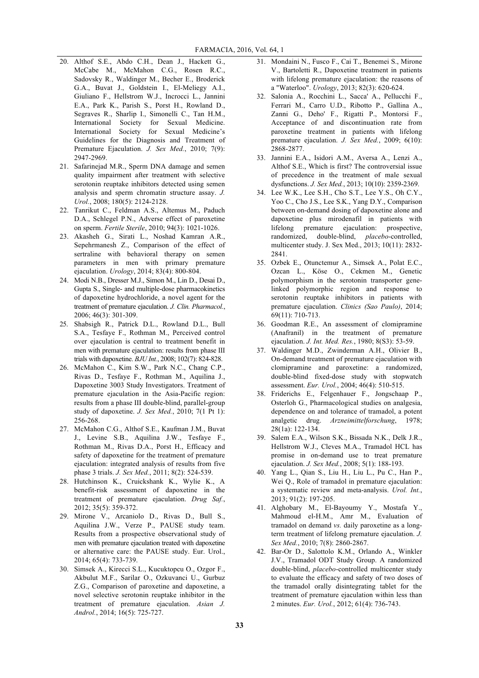- 20. Althof S.E., Abdo C.H., Dean J., Hackett G., McCabe M., McMahon C.G., Rosen R.C., Sadovsky R., Waldinger M., Becher E., Broderick G.A., Buvat J., Goldstein I., El-Meliegy A.I., Giuliano F., Hellstrom W.J., Incrocci L., Jannini E.A., Park K., Parish S., Porst H., Rowland D., Segraves R., Sharlip I., Simonelli C., Tan H.M., International Society for Sexual Medicine. International Society for Sexual Medicine's Guidelines for the Diagnosis and Treatment of Premature Ejaculation. *J. Sex Med.*, 2010; 7(9): 2947-2969.
- 21. Safarinejad M.R., Sperm DNA damage and semen quality impairment after treatment with selective serotonin reuptake inhibitors detected using semen analysis and sperm chromatin structure assay. *J. Urol.*, 2008; 180(5): 2124-2128.
- 22. Tanrikut C., Feldman A.S., Altemus M., Paduch D.A., Schlegel P.N., Adverse effect of paroxetine on sperm. *Fertile Sterile*, 2010; 94(3): 1021-1026.
- 23. Akasheh G., Sirati L., Noshad Kamran A.R., Sepehrmanesh Z., Comparison of the effect of sertraline with behavioral therapy on semen parameters in men with primary premature ejaculation. *Urology*, 2014; 83(4): 800-804.
- 24. Modi N.B., Dresser M.J., Simon M., Lin D., Desai D., Gupta S., Single- and multiple-dose pharmacokinetics of dapoxetine hydrochloride, a novel agent for the treatment of premature ejaculation. *J. Clin. Pharmacol.*, 2006; 46(3): 301-309.
- 25. Shabsigh R., Patrick D.L., Rowland D.L., Bull S.A., Tesfaye F., Rothman M., Perceived control over ejaculation is central to treatment benefit in men with premature ejaculation: results from phase III trials with dapoxetine. *BJU Int.*, 2008; 102(7): 824-828.
- 26. McMahon C., Kim S.W., Park N.C., Chang C.P., Rivas D., Tesfaye F., Rothman M., Aquilina J., Dapoxetine 3003 Study Investigators. Treatment of premature ejaculation in the Asia-Pacific region: results from a phase III double-blind, parallel-group study of dapoxetine. *J. Sex Med.*, 2010; 7(1 Pt 1): 256-268.
- 27. McMahon C.G., Althof S.E., Kaufman J.M., Buvat J., Levine S.B., Aquilina J.W., Tesfaye F., Rothman M., Rivas D.A., Porst H., Efficacy and safety of dapoxetine for the treatment of premature ejaculation: integrated analysis of results from five phase 3 trials. *J. Sex Med.*, 2011; 8(2): 524-539.
- 28. Hutchinson K., Cruickshank K., Wylie K., A benefit-risk assessment of dapoxetine in the treatment of premature ejaculation. *Drug Saf.*, 2012; 35(5): 359-372.
- 29. Mirone V., Arcaniolo D., Rivas D., Bull S., Aquilina J.W., Verze P., PAUSE study team. Results from a prospective observational study of men with premature ejaculation treated with dapoxetine or alternative care: the PAUSE study. Eur. Urol., 2014; 65(4): 733-739.
- 30. Simsek A., Kirecci S.L., Kucuktopcu O., Ozgor F., Akbulut M.F., Sarilar O., Ozkuvanci U., Gurbuz Z.G., Comparison of paroxetine and dapoxetine, a novel selective serotonin reuptake inhibitor in the treatment of premature ejaculation. *Asian J. Androl.*, 2014; 16(5): 725-727.
- 31. Mondaini N., Fusco F., Cai T., Benemei S., Mirone V., Bartoletti R., Dapoxetine treatment in patients with lifelong premature ejaculation: the reasons of a "Waterloo". *Urology*, 2013; 82(3): 620-624.
- 32. Salonia A., Rocchini L., Sacca' A., Pellucchi F., Ferrari M., Carro U.D., Ribotto P., Gallina A., Zanni G., Deho' F., Rigatti P., Montorsi F., Acceptance of and discontinuation rate from paroxetine treatment in patients with lifelong premature ejaculation. *J. Sex Med.*, 2009; 6(10): 2868-2877.
- 33. Jannini E.A., Isidori A.M., Aversa A., Lenzi A., Althof S.E., Which is first? The controversial issue of precedence in the treatment of male sexual dysfunctions. *J. Sex Med.*, 2013; 10(10): 2359-2369.
- 34. Lee W.K., Lee S.H., Cho S.T., Lee Y.S., Oh C.Y., Yoo C., Cho J.S., Lee S.K., Yang D.Y., Comparison between on-demand dosing of dapoxetine alone and dapoxetine plus mirodenafil in patients with lifelong premature ejaculation: prospective, randomized, double-blind, *placebo*-controlled, multicenter study. J. Sex Med., 2013; 10(11): 2832- 2841.
- 35. Ozbek E., Otunctemur A., Simsek A., Polat E.C., Ozcan L., Köse O., Cekmen M., Genetic polymorphism in the serotonin transporter genelinked polymorphic region and response to serotonin reuptake inhibitors in patients with premature ejaculation. *Clinics (Sao Paulo)*, 2014; 69(11): 710-713.
- 36. Goodman R.E., An assessment of clomipramine (Anafranil) in the treatment of premature ejaculation. *J. Int. Med. Res.*, 1980; 8(S3): 53-59.
- 37. Waldinger M.D., Zwinderman A.H., Olivier B., On-demand treatment of premature ejaculation with clomipramine and paroxetine: a randomized, double-blind fixed-dose study with stopwatch assessment. *Eur. Urol.*, 2004; 46(4): 510-515.
- 38. Friderichs E., Felgenhauer F., Jongschaap P., Osterloh G., Pharmacological studies on analgesia, dependence on and tolerance of tramadol, a potent analgetic drug. *Arzneimittelforschung*, 1978; 28(1a): 122-134.
- 39. Salem E.A., Wilson S.K., Bissada N.K., Delk J.R., Hellstrom W.J., Cleves M.A., Tramadol HCL has promise in on-demand use to treat premature ejaculation. *J. Sex Med.*, 2008; 5(1): 188-193.
- 40. Yang L., Qian S., Liu H., Liu L., Pu C., Han P., Wei O., Role of tramadol in premature ejaculation: a systematic review and meta-analysis. *Urol. Int.*, 2013; 91(2): 197-205.
- 41. Alghobary M., El-Bayoumy Y., Mostafa Y., Mahmoud el-H.M., Amr M., Evaluation of tramadol on demand *vs.* daily paroxetine as a longterm treatment of lifelong premature ejaculation. *J. Sex Med.*, 2010; 7(8): 2860-2867.
- 42. Bar-Or D., Salottolo K.M., Orlando A., Winkler J.V., Tramadol ODT Study Group. A randomized double-blind, *placebo*-controlled multicenter study to evaluate the efficacy and safety of two doses of the tramadol orally disintegrating tablet for the treatment of premature ejaculation within less than 2 minutes. *Eur. Urol.*, 2012; 61(4): 736-743.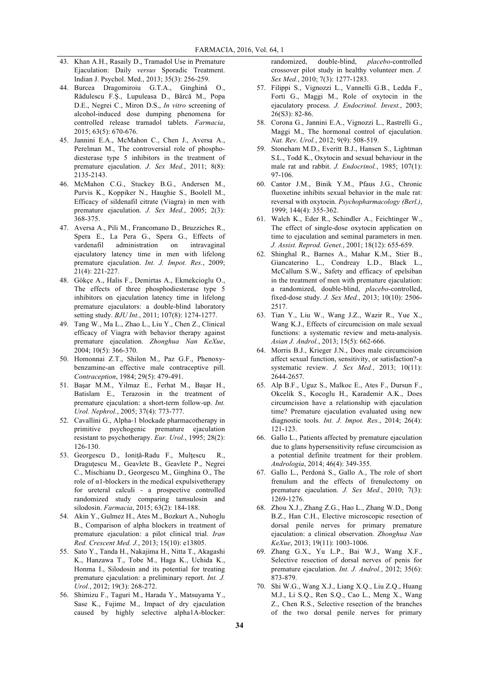- 43. Khan A.H., Rasaily D., Tramadol Use in Premature Ejaculation: Daily *versus* Sporadic Treatment. Indian J. Psychol. Med., 2013; 35(3): 256-259.
- 44. Burcea Dragomiroiu G.T.A., Ginghină O., Rădulescu F.Ș., Lupuleasa D., Bârcă M., Popa D.E., Negrei C., Miron D.S., *In vitro* screening of alcohol-induced dose dumping phenomena for controlled release tramadol tablets. *Farmacia*, 2015; 63(5): 670-676.
- 45. Jannini E.A., McMahon C., Chen J., Aversa A., Perelman M., The controversial role of phosphodiesterase type 5 inhibitors in the treatment of premature ejaculation. *J. Sex Med.*, 2011; 8(8): 2135-2143.
- 46. McMahon C.G., Stuckey B.G., Andersen M., Purvis K., Koppiker N., Haughie S., Boolell M., Efficacy of sildenafil citrate (Viagra) in men with premature ejaculation. *J. Sex Med.*, 2005; 2(3): 368-375.
- 47. Aversa A., Pili M., Francomano D., Bruzziches R., Spera E., La Pera G., Spera G., Effects of vardenafil administration on intravaginal ejaculatory latency time in men with lifelong premature ejaculation. *Int. J. Impot. Res.*, 2009; 21(4): 221-227.
- 48. Gökçe A., Halis F., Demirtas A., Ekmekcioglu O., The effects of three phosphodiesterase type 5 inhibitors on ejaculation latency time in lifelong premature ejaculators: a double-blind laboratory setting study. *BJU Int.*, 2011; 107(8): 1274-1277.
- 49. Tang W., Ma L., Zhao L., Liu Y., Chen Z., Clinical efficacy of Viagra with behavior therapy against premature ejaculation. *Zhonghua Nan KeXue*, 2004; 10(5): 366-370.
- 50. Homonnai Z.T., Shilon M., Paz G.F., Phenoxybenzamine-an effective male contraceptive pill. *Contraception*, 1984; 29(5): 479-491.
- 51. Başar M.M., Yilmaz E., Ferhat M., Başar H., Batislam E., Terazosin in the treatment of premature ejaculation: a short-term follow-up. *Int. Urol. Nephrol.*, 2005; 37(4): 773-777.
- 52. Cavallini G., Alpha-1 blockade pharmacotherapy in primitive psychogenic premature ejaculation resistant to psychotherapy. *Eur. Urol.*, 1995; 28(2): 126-130.
- 53. Georgescu D., Ioniţă-Radu F., Mulţescu R., Dragutescu M., Geavlete B., Geavlete P., Negrei C., Mischianu D., Georgescu M., Ginghina O., The role of  $α1$ -blockers in the medical expulsivetherapy for ureteral calculi - a prospective controlled randomized study comparing tamsulosin and silodosin. *Farmacia*, 2015; 63(2): 184-188.
- 54. Akin Y., Gulmez H., Ates M., Bozkurt A., Nuhoglu B., Comparison of alpha blockers in treatment of premature ejaculation: a pilot clinical trial. *Iran Red. Crescent Med. J.*, 2013; 15(10): e13805.
- 55. Sato Y., Tanda H., Nakajima H., Nitta T., Akagashi K., Hanzawa T., Tobe M., Haga K., Uchida K., Honma I., Silodosin and its potential for treating premature ejaculation: a preliminary report. *Int. J. Urol.*, 2012; 19(3): 268-272.
- 56. Shimizu F., Taguri M., Harada Y., Matsuyama Y., Sase K., Fujime M., Impact of dry ejaculation caused by highly selective alpha1A-blocker:

randomized, double-blind, *placebo*-controlled crossover pilot study in healthy volunteer men. *J. Sex Med.*, 2010; 7(3): 1277-1283.

- 57. Filippi S., Vignozzi L., Vannelli G.B., Ledda F., Forti G., Maggi M., Role of oxytocin in the ejaculatory process. *J. Endocrinol. Invest.*, 2003; 26(S3): 82-86.
- 58. Corona G., Jannini E.A., Vignozzi L., Rastrelli G., Maggi M., The hormonal control of ejaculation. *Nat. Rev. Urol.*, 2012; 9(9): 508-519.
- 59. Stoneham M.D., Everitt B.J., Hansen S., Lightman S.L., Todd K., Oxytocin and sexual behaviour in the male rat and rabbit. *J. Endocrinol.*, 1985; 107(1): 97-106.
- 60. Cantor J.M., Binik Y.M., Pfaus J.G., Chronic fluoxetine inhibits sexual behavior in the male rat: reversal with oxytocin. *Psychopharmacology (Berl.)*, 1999; 144(4): 355-362.
- 61. Walch K., Eder R., Schindler A., Feichtinger W., The effect of single-dose oxytocin application on time to ejaculation and seminal parameters in men. *J. Assist. Reprod. Genet.*, 2001; 18(12): 655-659.
- 62. Shinghal R., Barnes A., Mahar K.M., Stier B., Giancaterino L., Condreay L.D., Black L., McCallum S.W., Safety and efficacy of epelsiban in the treatment of men with premature ejaculation: a randomized, double-blind, *placebo*-controlled, fixed-dose study. *J. Sex Med.*, 2013; 10(10): 2506- 2517.
- 63. Tian Y., Liu W., Wang J.Z., Wazir R., Yue X., Wang K.J., Effects of circumcision on male sexual functions: a systematic review and meta-analysis. *Asian J. Androl.*, 2013; 15(5): 662-666.
- 64. Morris B.J., Krieger J.N., Does male circumcision affect sexual function, sensitivity, or satisfaction?-a systematic review. *J. Sex Med.*, 2013; 10(11): 2644-2657.
- 65. Alp B.F., Uguz S., Malkoc E., Ates F., Dursun F., Okcelik S., Kocoglu H., Karademir A.K., Does circumcision have a relationship with ejaculation time? Premature ejaculation evaluated using new diagnostic tools. *Int. J. Impot. Res.*, 2014; 26(4): 121-123.
- 66. Gallo L., Patients affected by premature ejaculation due to glans hypersensitivity refuse circumcision as a potential definite treatment for their problem. *Andrologia*, 2014; 46(4): 349-355.
- 67. Gallo L., Perdonà S., Gallo A., The role of short frenulum and the effects of frenulectomy on premature ejaculation. *J. Sex Med.*, 2010; 7(3): 1269-1276.
- 68. Zhou X.J., Zhang Z.G., Hao L., Zhang W.D., Dong B.Z., Han C.H., Elective microscopic resection of dorsal penile nerves for primary premature ejaculation: a clinical observation. *Zhonghua Nan KeXue*, 2013; 19(11): 1003-1006.
- 69. Zhang G.X., Yu L.P., Bai W.J., Wang X.F., Selective resection of dorsal nerves of penis for premature ejaculation. *Int. J. Androl.*, 2012; 35(6): 873-879.
- 70. Shi W.G., Wang X.J., Liang X.Q., Liu Z.Q., Huang M.J., Li S.Q., Ren S.Q., Cao L., Meng X., Wang Z., Chen R.S., Selective resection of the branches of the two dorsal penile nerves for primary